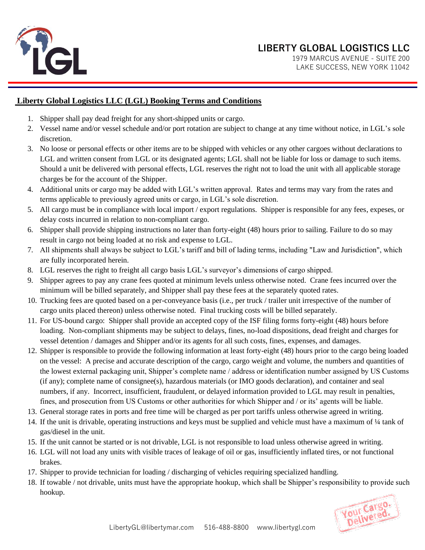

LIBERTY GLOBAL LOGISTICS LLC<br>1979 MARCUS AVENUE - SUITE 200 1979 MARCUS AVENUE - SUITE 200 LAKE SUCCESS, NEW YORK 11042

## **Liberty Global Logistics LLC (LGL) Booking Terms and Conditions**

- 1. Shipper shall pay dead freight for any short-shipped units or cargo.
- 2. Vessel name and/or vessel schedule and/or port rotation are subject to change at any time without notice, in LGL's sole discretion.
- 3. No loose or personal effects or other items are to be shipped with vehicles or any other cargoes without declarations to LGL and written consent from LGL or its designated agents; LGL shall not be liable for loss or damage to such items. Should a unit be delivered with personal effects, LGL reserves the right not to load the unit with all applicable storage charges be for the account of the Shipper.
- 4. Additional units or cargo may be added with LGL's written approval. Rates and terms may vary from the rates and terms applicable to previously agreed units or cargo, in LGL's sole discretion.
- 5. All cargo must be in compliance with local import / export regulations. Shipper is responsible for any fees, expeses, or delay costs incurred in relation to non-compliant cargo.
- 6. Shipper shall provide shipping instructions no later than forty-eight (48) hours prior to sailing. Failure to do so may result in cargo not being loaded at no risk and expense to LGL.
- 7. All shipments shall always be subject to LGL's tariff and bill of lading terms, including "Law and Jurisdiction", which are fully incorporated herein.
- 8. LGL reserves the right to freight all cargo basis LGL's surveyor's dimensions of cargo shipped.
- 9. Shipper agrees to pay any crane fees quoted at minimum levels unless otherwise noted. Crane fees incurred over the minimum will be billed separately, and Shipper shall pay these fees at the separately quoted rates.
- 10. Trucking fees are quoted based on a per-conveyance basis (i.e., per truck / trailer unit irrespective of the number of cargo units placed thereon) unless otherwise noted. Final trucking costs will be billed separately.
- 11. For US-bound cargo: Shipper shall provide an accepted copy of the ISF filing forms forty-eight (48) hours before loading. Non-compliant shipments may be subject to delays, fines, no-load dispositions, dead freight and charges for vessel detention / damages and Shipper and/or its agents for all such costs, fines, expenses, and damages.
- 12. Shipper is responsible to provide the following information at least forty-eight (48) hours prior to the cargo being loaded on the vessel: A precise and accurate description of the cargo, cargo weight and volume, the numbers and quantities of the lowest external packaging unit, Shipper's complete name / address or identification number assigned by US Customs (if any); complete name of consignee(s), hazardous materials (or IMO goods declaration), and container and seal numbers, if any. Incorrect, insufficient, fraudulent, or delayed information provided to LGL may result in penalties, fines, and prosecution from US Customs or other authorities for which Shipper and / or its' agents will be liable.
- 13. General storage rates in ports and free time will be charged as per port tariffs unless otherwise agreed in writing.
- 14. If the unit is drivable, operating instructions and keys must be supplied and vehicle must have a maximum of ¼ tank of gas/diesel in the unit.
- 15. If the unit cannot be started or is not drivable, LGL is not responsible to load unless otherwise agreed in writing.
- 16. LGL will not load any units with visible traces of leakage of oil or gas, insufficiently inflated tires, or not functional brakes.
- 17. Shipper to provide technician for loading / discharging of vehicles requiring specialized handling.
- 18. If towable / not drivable, units must have the appropriate hookup, which shall be Shipper's responsibility to provide such hookup.

Your Cargo.<br>Pelivered.